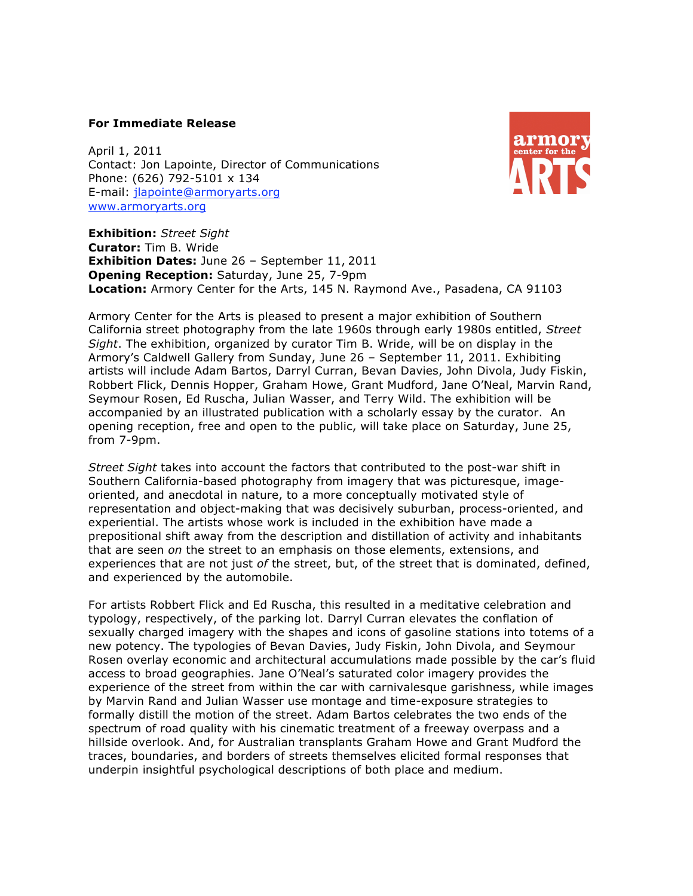## **For Immediate Release**

April 1, 2011 Contact: Jon Lapointe, Director of Communications Phone: (626) 792-5101 x 134 E-mail: jlapointe@armoryarts.org www.armoryarts.org



**Exhibition:** *Street Sight* **Curator:** Tim B. Wride **Exhibition Dates:** June 26 – September 11, 2011 **Opening Reception:** Saturday, June 25, 7-9pm **Location:** Armory Center for the Arts, 145 N. Raymond Ave., Pasadena, CA 91103

Armory Center for the Arts is pleased to present a major exhibition of Southern California street photography from the late 1960s through early 1980s entitled, *Street Sight*. The exhibition, organized by curator Tim B. Wride, will be on display in the Armory's Caldwell Gallery from Sunday, June 26 – September 11, 2011. Exhibiting artists will include Adam Bartos, Darryl Curran, Bevan Davies, John Divola, Judy Fiskin, Robbert Flick, Dennis Hopper, Graham Howe, Grant Mudford, Jane O'Neal, Marvin Rand, Seymour Rosen, Ed Ruscha, Julian Wasser, and Terry Wild. The exhibition will be accompanied by an illustrated publication with a scholarly essay by the curator. An opening reception, free and open to the public, will take place on Saturday, June 25, from 7-9pm.

*Street Sight* takes into account the factors that contributed to the post-war shift in Southern California-based photography from imagery that was picturesque, imageoriented, and anecdotal in nature, to a more conceptually motivated style of representation and object-making that was decisively suburban, process-oriented, and experiential. The artists whose work is included in the exhibition have made a prepositional shift away from the description and distillation of activity and inhabitants that are seen *on* the street to an emphasis on those elements, extensions, and experiences that are not just *of* the street, but, of the street that is dominated, defined, and experienced by the automobile.

For artists Robbert Flick and Ed Ruscha, this resulted in a meditative celebration and typology, respectively, of the parking lot. Darryl Curran elevates the conflation of sexually charged imagery with the shapes and icons of gasoline stations into totems of a new potency. The typologies of Bevan Davies, Judy Fiskin, John Divola, and Seymour Rosen overlay economic and architectural accumulations made possible by the car's fluid access to broad geographies. Jane O'Neal's saturated color imagery provides the experience of the street from within the car with carnivalesque garishness, while images by Marvin Rand and Julian Wasser use montage and time-exposure strategies to formally distill the motion of the street. Adam Bartos celebrates the two ends of the spectrum of road quality with his cinematic treatment of a freeway overpass and a hillside overlook. And, for Australian transplants Graham Howe and Grant Mudford the traces, boundaries, and borders of streets themselves elicited formal responses that underpin insightful psychological descriptions of both place and medium.